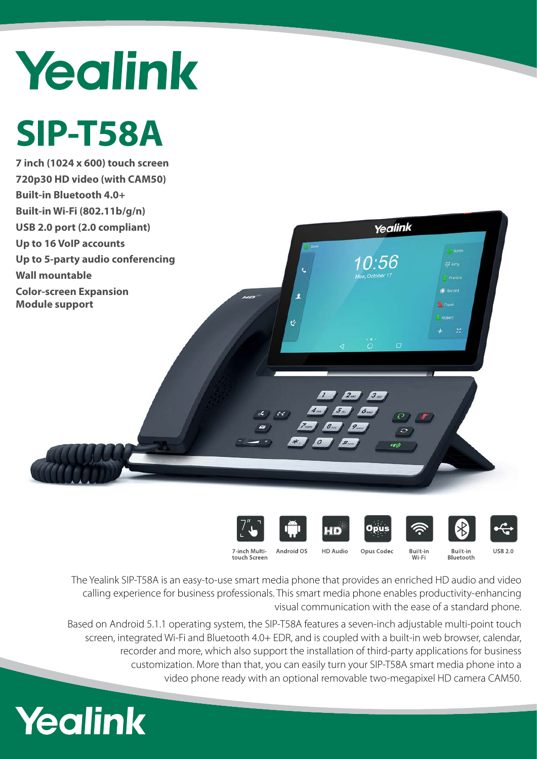# Yealink

## **SIP-T58A**

**7 inch (1024 x 600) touch screen 720p30 HD video (with CAM50) Built-in Bluetooth 4.0+ Built-in Wi-Fi (802.11b/g/n) USB 2.0 port (2.0 compliant) Up to 16 VoIP accounts Up to 5-party audio conferencing Wall mountable Color-screen Expansion Module support**





 $2\pi$   $3\pi$ 



Yealink



...<br>...

x



7-inch Multitouch Screen

Android OS **HD Audio** 

Built-in<br>Wi-Fi Opus Codec

Built-in<br>Bluetooth



The Yealink SIP-T58A is an easy-to-use smart media phone that provides an enriched HD audio and video calling experience for business professionals. This smart media phone enables productivity-enhancing

visual communication with the ease of a standard phone.

Based on Android 5.1.1 operating system, the SIP-T58A features a seven-inch adjustable multi-point touch screen, integrated Wi-Fi and Bluetooth 4.0+ EDR, and is coupled with a built-in web browser, calendar, recorder and more, which also support the installation of third-party applications for business customization. More than that, you can easily turn your SIP-T58A smart media phone into a video phone ready with an optional removable two-megapixel HD camera CAM50.